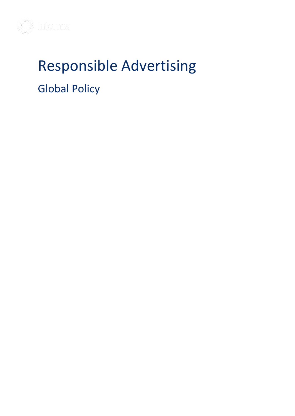

# Responsible Advertising Global Policy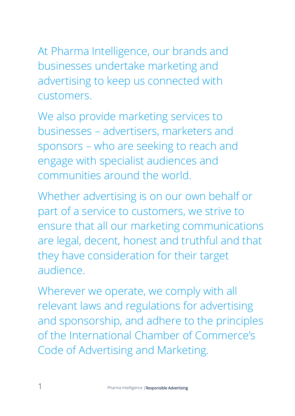At Pharma Intelligence, our brands and businesses undertake marketing and advertising to keep us connected with customers.

We also provide marketing services to businesses – advertisers, marketers and sponsors – who are seeking to reach and engage with specialist audiences and communities around the world.

Whether advertising is on our own behalf or part of a service to customers, we strive to ensure that all our marketing communications are legal, decent, honest and truthful and that they have consideration for their target audience.

Wherever we operate, we comply with all relevant laws and regulations for advertising and sponsorship, and adhere to the principles of the International Chamber of Commerce's Code of Advertising and Marketing.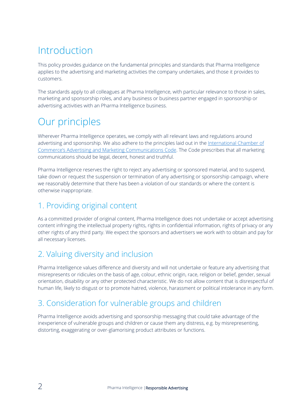# Introduction

This policy provides guidance on the fundamental principles and standards that Pharma Intelligence applies to the advertising and marketing activities the company undertakes, and those it provides to customers.

The standards apply to all colleagues at Pharma Intelligence, with particular relevance to those in sales, marketing and sponsorship roles, and any business or business partner engaged in sponsorship or advertising activities with an Pharma Intelligence business.

# Our principles

Wherever Pharma Intelligence operates, we comply with all relevant laws and regulations around advertising and sponsorship. We also adhere to the principles laid out in the International Chamber of [Commerce's Advertising and Marketing Communications Code](http://www.codescentre.com/icc-code.aspx). The Code prescribes that all marketing communications should be legal, decent, honest and truthful.

Pharma Intelligence reserves the right to reject any advertising or sponsored material, and to suspend, take down or request the suspension or termination of any advertising or sponsorship campaign, where we reasonably determine that there has been a violation of our standards or where the content is otherwise inappropriate.

### 1. Providing original content

As a committed provider of original content, Pharma Intelligence does not undertake or accept advertising content infringing the intellectual property rights, rights in confidential information, rights of privacy or any other rights of any third party. We expect the sponsors and advertisers we work with to obtain and pay for all necessary licenses.

## 2. Valuing diversity and inclusion

Pharma Intelligence values difference and diversity and will not undertake or feature any advertising that misrepresents or ridicules on the basis of age, colour, ethnic origin, race, religion or belief, gender, sexual orientation, disability or any other protected characteristic. We do not allow content that is disrespectful of human life, likely to disgust or to promote hatred, violence, harassment or political intolerance in any form.

### 3. Consideration for vulnerable groups and children

Pharma Intelligence avoids advertising and sponsorship messaging that could take advantage of the inexperience of vulnerable groups and children or cause them any distress, e.g. by misrepresenting, distorting, exaggerating or over-glamorising product attributes or functions.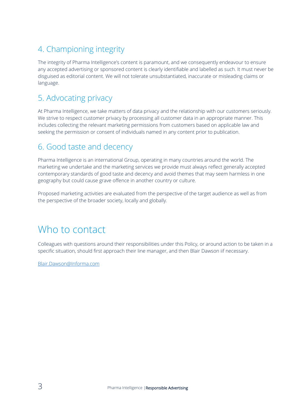# 4. Championing integrity

The integrity of Pharma Intelligence's content is paramount, and we consequently endeavour to ensure any accepted advertising or sponsored content is clearly identifiable and labelled as such. It must never be disguised as editorial content. We will not tolerate unsubstantiated, inaccurate or misleading claims or language.

### 5. Advocating privacy

At Pharma Intelligence, we take matters of data privacy and the relationship with our customers seriously. We strive to respect customer privacy by processing all customer data in an appropriate manner. This includes collecting the relevant marketing permissions from customers based on applicable law and seeking the permission or consent of individuals named in any content prior to publication.

#### 6. Good taste and decency

Pharma Intelligence is an international Group, operating in many countries around the world. The marketing we undertake and the marketing services we provide must always reflect generally accepted contemporary standards of good taste and decency and avoid themes that may seem harmless in one geography but could cause grave offence in another country or culture.

Proposed marketing activities are evaluated from the perspective of the target audience as well as from the perspective of the broader society, locally and globally.

# Who to contact

Colleagues with questions around their responsibilities under this Policy, or around action to be taken in a specific situation, should first approach their line manager, and then Blair Dawson iif necessary.

[Blair.Dawson@Informa.com](mailto:Blair.Dawson@Informa.com)